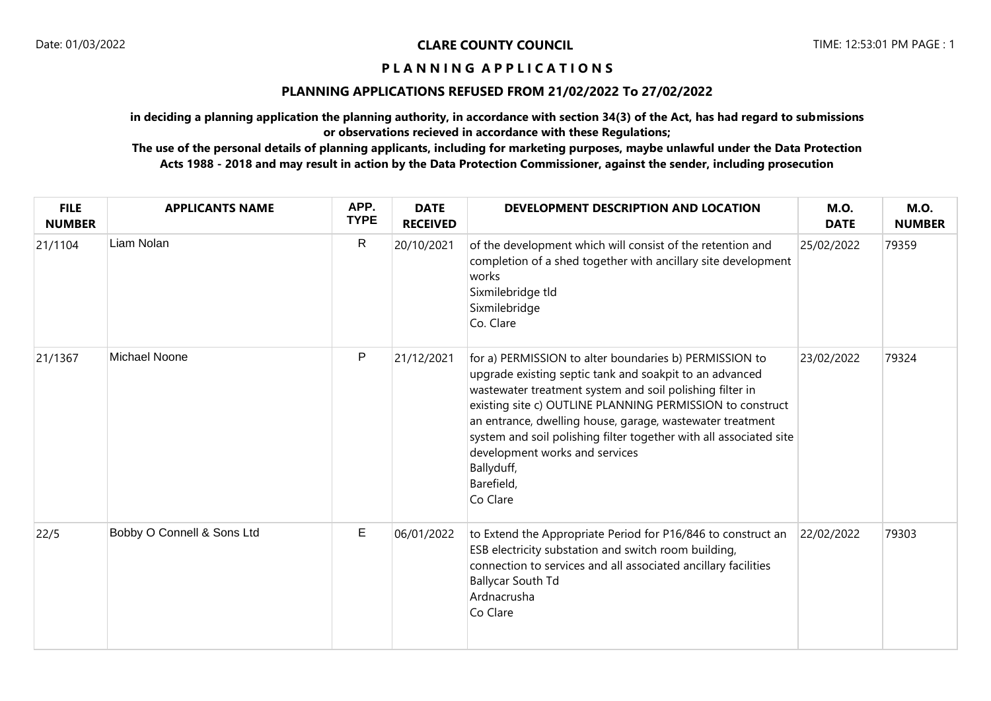## **P L A N N I N G A P P L I C A T I O N S**

## **PLANNING APPLICATIONS REFUSED FROM 21/02/2022 To 27/02/2022**

**in deciding a planning application the planning authority, in accordance with section 34(3) of the Act, has had regard to submissions or observations recieved in accordance with these Regulations;**

**The use of the personal details of planning applicants, including for marketing purposes, maybe unlawful under the Data Protection Acts 1988 - 2018 and may result in action by the Data Protection Commissioner, against the sender, including prosecution**

| <b>FILE</b><br><b>NUMBER</b> | <b>APPLICANTS NAME</b>     | APP.<br><b>TYPE</b> | <b>DATE</b><br><b>RECEIVED</b> | DEVELOPMENT DESCRIPTION AND LOCATION                                                                                                                                                                                                                                                                                                                                                                                                                    | <b>M.O.</b><br><b>DATE</b> | <b>M.O.</b><br><b>NUMBER</b> |
|------------------------------|----------------------------|---------------------|--------------------------------|---------------------------------------------------------------------------------------------------------------------------------------------------------------------------------------------------------------------------------------------------------------------------------------------------------------------------------------------------------------------------------------------------------------------------------------------------------|----------------------------|------------------------------|
| 21/1104                      | Liam Nolan                 | $\mathsf{R}$        | 20/10/2021                     | of the development which will consist of the retention and<br>completion of a shed together with ancillary site development<br>works<br>Sixmilebridge tld<br>Sixmilebridge<br>Co. Clare                                                                                                                                                                                                                                                                 | 25/02/2022                 | 79359                        |
| 21/1367                      | Michael Noone              | $\mathsf{P}$        | 21/12/2021                     | for a) PERMISSION to alter boundaries b) PERMISSION to<br>upgrade existing septic tank and soakpit to an advanced<br>wastewater treatment system and soil polishing filter in<br>existing site c) OUTLINE PLANNING PERMISSION to construct<br>an entrance, dwelling house, garage, wastewater treatment<br>system and soil polishing filter together with all associated site<br>development works and services<br>Ballyduff,<br>Barefield,<br>Co Clare | 23/02/2022                 | 79324                        |
| 22/5                         | Bobby O Connell & Sons Ltd | Е                   | 06/01/2022                     | to Extend the Appropriate Period for P16/846 to construct an<br>ESB electricity substation and switch room building,<br>connection to services and all associated ancillary facilities<br><b>Ballycar South Td</b><br>Ardnacrusha<br>Co Clare                                                                                                                                                                                                           | 22/02/2022                 | 79303                        |